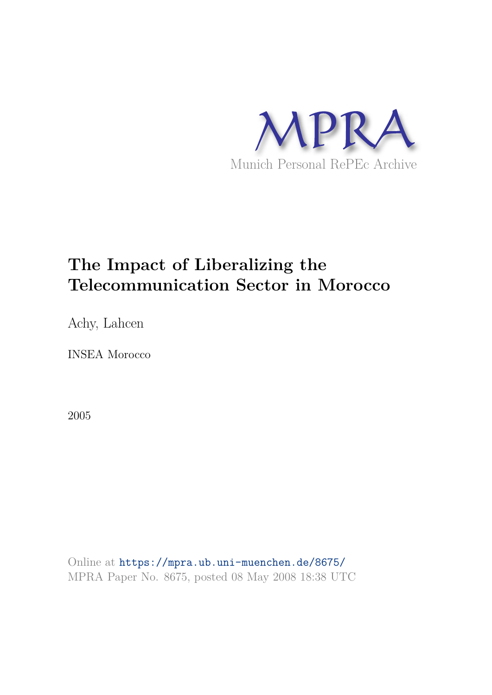

# **The Impact of Liberalizing the Telecommunication Sector in Morocco**

Achy, Lahcen

INSEA Morocco

2005

Online at https://mpra.ub.uni-muenchen.de/8675/ MPRA Paper No. 8675, posted 08 May 2008 18:38 UTC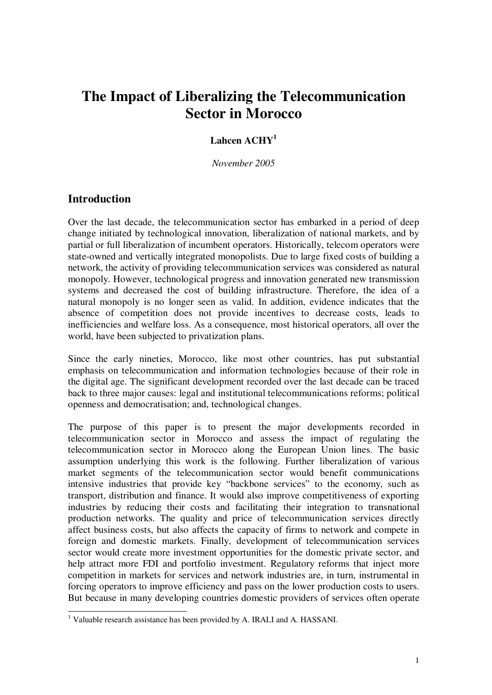## **The Impact of Liberalizing the Telecommunication Sector in Morocco**

## **Lahcen ACHY<sup>1</sup>**

*November 2005*

## **Introduction**

Over the last decade, the telecommunication sector has embarked in a period of deep change initiated by technological innovation, liberalization of national markets, and by partial or full liberalization of incumbent operators. Historically, telecom operators were state-owned and vertically integrated monopolists. Due to large fixed costs of building a network, the activity of providing telecommunication services was considered as natural monopoly. However, technological progress and innovation generated new transmission systems and decreased the cost of building infrastructure. Therefore, the idea of a natural monopoly is no longer seen as valid. In addition, evidence indicates that the absence of competition does not provide incentives to decrease costs, leads to inefficiencies and welfare loss. As a consequence, most historical operators, all over the world, have been subjected to privatization plans.

Since the early nineties, Morocco, like most other countries, has put substantial emphasis on telecommunication and information technologies because of their role in the digital age. The significant development recorded over the last decade can be traced back to three major causes: legal and institutional telecommunications reforms; political openness and democratisation; and, technological changes.

The purpose of this paper is to present the major developments recorded in telecommunication sector in Morocco and assess the impact of regulating the telecommunication sector in Morocco along the European Union lines. The basic assumption underlying this work is the following. Further liberalization of various market segments of the telecommunication sector would benefit communications intensive industries that provide key "backbone services" to the economy, such as transport, distribution and finance. It would also improve competitiveness of exporting industries by reducing their costs and facilitating their integration to transnational production networks. The quality and price of telecommunication services directly affect business costs, but also affects the capacity of firms to network and compete in foreign and domestic markets. Finally, development of telecommunication services sector would create more investment opportunities for the domestic private sector, and help attract more FDI and portfolio investment. Regulatory reforms that inject more competition in markets for services and network industries are, in turn, instrumental in forcing operators to improve efficiency and pass on the lower production costs to users. But because in many developing countries domestic providers of services often operate

<sup>&</sup>lt;sup>1</sup> Valuable research assistance has been provided by A. IRALI and A. HASSANI.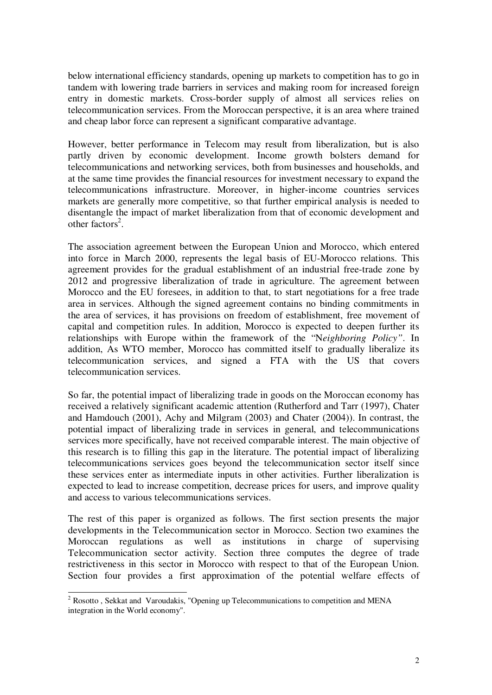below international efficiency standards, opening up markets to competition has to go in tandem with lowering trade barriers in services and making room for increased foreign entry in domestic markets. Cross-border supply of almost all services relies on telecommunication services. From the Moroccan perspective, it is an area where trained and cheap labor force can represent a significant comparative advantage.

However, better performance in Telecom may result from liberalization, but is also partly driven by economic development. Income growth bolsters demand for telecommunications and networking services, both from businesses and households, and at the same time provides the financial resources for investment necessary to expand the telecommunications infrastructure. Moreover, in higher-income countries services markets are generally more competitive, so that further empirical analysis is needed to disentangle the impact of market liberalization from that of economic development and other factors<sup>2</sup>.

The association agreement between the European Union and Morocco, which entered into force in March 2000, represents the legal basis of EU-Morocco relations. This agreement provides for the gradual establishment of an industrial free-trade zone by 2012 and progressive liberalization of trade in agriculture. The agreement between Morocco and the EU foresees, in addition to that, to start negotiations for a free trade area in services. Although the signed agreement contains no binding commitments in the area of services, it has provisions on freedom of establishment, free movement of capital and competition rules. In addition, Morocco is expected to deepen further its relationships with Europe within the framework of the "N*eighboring Policy"*. In addition, As WTO member, Morocco has committed itself to gradually liberalize its telecommunication services, and signed a FTA with the US that covers telecommunication services.

So far, the potential impact of liberalizing trade in goods on the Moroccan economy has received a relatively significant academic attention (Rutherford and Tarr (1997), Chater and Hamdouch (2001), Achy and Milgram (2003) and Chater (2004)). In contrast, the potential impact of liberalizing trade in services in general, and telecommunications services more specifically, have not received comparable interest. The main objective of this research is to filling this gap in the literature. The potential impact of liberalizing telecommunications services goes beyond the telecommunication sector itself since these services enter as intermediate inputs in other activities. Further liberalization is expected to lead to increase competition, decrease prices for users, and improve quality and access to various telecommunications services.

The rest of this paper is organized as follows. The first section presents the major developments in the Telecommunication sector in Morocco. Section two examines the Moroccan regulations as well as institutions in charge of supervising Telecommunication sector activity. Section three computes the degree of trade restrictiveness in this sector in Morocco with respect to that of the European Union. Section four provides a first approximation of the potential welfare effects of

<sup>&</sup>lt;sup>2</sup> Rosotto, Sekkat and Varoudakis, "Opening up Telecommunications to competition and MENA integration in the World economy".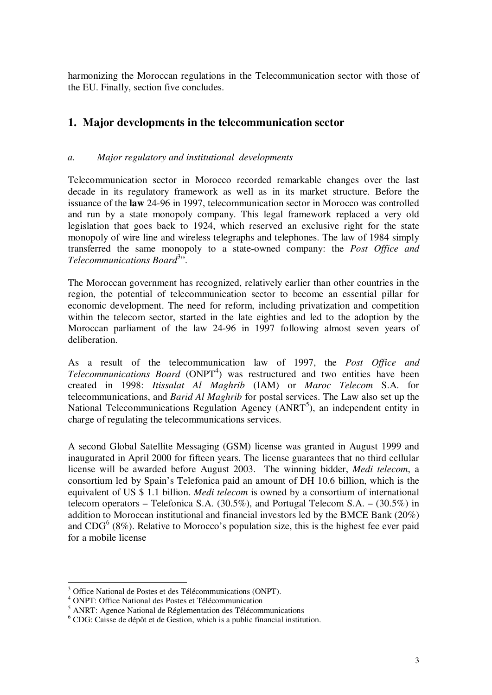harmonizing the Moroccan regulations in the Telecommunication sector with those of the EU. Finally, section five concludes.

## **1. Major developments in the telecommunication sector**

## *a. Major regulatory and institutional developments*

Telecommunication sector in Morocco recorded remarkable changes over the last decade in its regulatory framework as well as in its market structure. Before the issuance of the **law** 24-96 in 1997, telecommunication sector in Morocco was controlled and run by a state monopoly company. This legal framework replaced a very old legislation that goes back to 1924, which reserved an exclusive right for the state monopoly of wire line and wireless telegraphs and telephones. The law of 1984 simply transferred the same monopoly to a state-owned company: the *Post Office and* Telecommunications Board<sup>3</sup>".

The Moroccan government has recognized, relatively earlier than other countries in the region, the potential of telecommunication sector to become an essential pillar for economic development. The need for reform, including privatization and competition within the telecom sector, started in the late eighties and led to the adoption by the Moroccan parliament of the law 24-96 in 1997 following almost seven years of deliberation.

As a result of the telecommunication law of 1997, the *Post Office and* Telecommunications Board (ONPT<sup>4</sup>) was restructured and two entities have been created in 1998: *Itissalat Al Maghrib* (IAM) or *Maroc Telecom* S.A. for telecommunications, and *Barid Al Maghrib* for postal services. The Law also set up the National Telecommunications Regulation Agency (ANRT<sup>5</sup>), an independent entity in charge of regulating the telecommunications services.

A second Global Satellite Messaging (GSM) license was granted in August 1999 and inaugurated in April 2000 for fifteen years. The license guarantees that no third cellular license will be awarded before August 2003. The winning bidder, *Medi telecom*, a consortium led by Spain's Telefonica paid an amount of DH 10.6 billion, which is the equivalent of US \$ 1.1 billion. *Medi telecom* is owned by a consortium of international telecom operators – Telefonica S.A. (30.5%), and Portugal Telecom S.A. – (30.5%) in addition to Moroccan institutional and financial investors led by the BMCE Bank (20%) and  $CDG<sup>6</sup>$  (8%). Relative to Morocco's population size, this is the highest fee ever paid for a mobile license

<sup>3</sup> Office National de Postes et des Télécommunications (ONPT).

<sup>4</sup> ONPT: Office National des Postes et Télécommunication

<sup>5</sup> ANRT: Agence National de Réglementation des Télécommunications

 $6$  CDG: Caisse de dépôt et de Gestion, which is a public financial institution.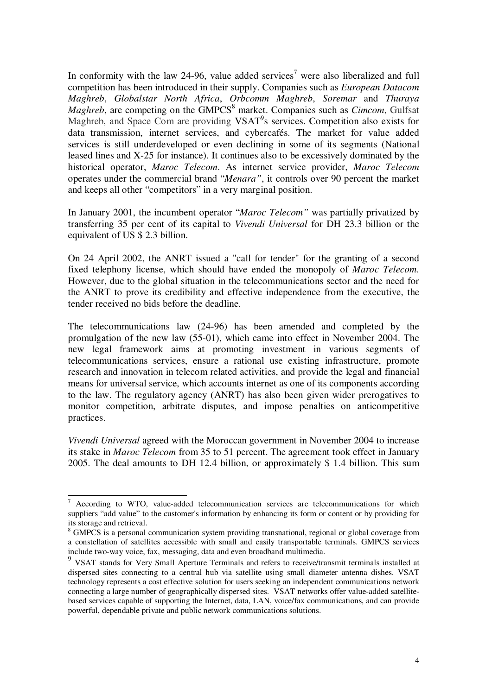In conformity with the law 24-96, value added services<sup>7</sup> were also liberalized and full competition has been introduced in their supply. Companies such as *European Datacom Maghreb*, *Globalstar North Africa*, *Orbcomm Maghreb*, *Soremar* and *Thuraya Maghreb*, are competing on the GMPCS<sup>8</sup> market. Companies such as *Cimcom*, Gulfsat Maghreb, and Space Com are providing VSAT<sup>9</sup>s services. Competition also exists for data transmission, internet services, and cybercafés. The market for value added services is still underdeveloped or even declining in some of its segments (National leased lines and X-25 for instance). It continues also to be excessively dominated by the historical operator, *Maroc Telecom*. As internet service provider, *Maroc Telecom* operates under the commercial brand "*Menara"*, it controls over 90 percent the market and keeps all other "competitors" in a very marginal position.

In January 2001, the incumbent operator "*Maroc Telecom"* was partially privatized by transferring 35 per cent of its capital to *Vivendi Universal* for DH 23.3 billion or the equivalent of US \$ 2.3 billion.

On 24 April 2002, the ANRT issued a "call for tender" for the granting of a second fixed telephony license, which should have ended the monopoly of *Maroc Telecom*. However, due to the global situation in the telecommunications sector and the need for the ANRT to prove its credibility and effective independence from the executive, the tender received no bids before the deadline.

The telecommunications law (24-96) has been amended and completed by the promulgation of the new law (55-01), which came into effect in November 2004. The new legal framework aims at promoting investment in various segments of telecommunications services, ensure a rational use existing infrastructure, promote research and innovation in telecom related activities, and provide the legal and financial means for universal service, which accounts internet as one of its components according to the law. The regulatory agency (ANRT) has also been given wider prerogatives to monitor competition, arbitrate disputes, and impose penalties on anticompetitive practices.

*Vivendi Universal* agreed with the Moroccan government in November 2004 to increase its stake in *Maroc Telecom* from 35 to 51 percent. The agreement took effect in January 2005. The deal amounts to DH 12.4 billion, or approximately \$ 1.4 billion. This sum

 $7$  According to WTO, value-added telecommunication services are telecommunications for which suppliers "add value" to the customer's information by enhancing its form or content or by providing for its storage and retrieval.

<sup>8</sup> GMPCS is a personal communication system providing transnational, regional or global coverage from a constellation of satellites accessible with small and easily transportable terminals. GMPCS services include two-way voice, fax, messaging, data and even broadband multimedia. 9 VSAT stands for Very Small Aperture Terminals and refers to receive/transmit terminals installed at

dispersed sites connecting to a central hub via satellite using small diameter antenna dishes. VSAT technology represents a cost effective solution for users seeking an independent communications network connecting a large number of geographically dispersed sites. VSAT networks offer value-added satellitebased services capable of supporting the Internet, data, LAN, voice/fax communications, and can provide powerful, dependable private and public network communications solutions.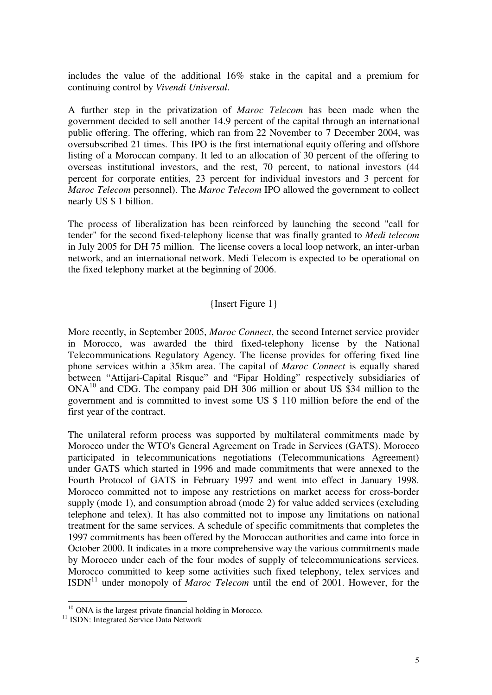includes the value of the additional 16% stake in the capital and a premium for continuing control by *Vivendi Universal*.

A further step in the privatization of *Maroc Telecom* has been made when the government decided to sell another 14.9 percent of the capital through an international public offering. The offering, which ran from 22 November to 7 December 2004, was oversubscribed 21 times. This IPO is the first international equity offering and offshore listing of a Moroccan company. It led to an allocation of 30 percent of the offering to overseas institutional investors, and the rest, 70 percent, to national investors (44 percent for corporate entities, 23 percent for individual investors and 3 percent for *Maroc Telecom* personnel). The *Maroc Telecom* IPO allowed the government to collect nearly US \$ 1 billion.

The process of liberalization has been reinforced by launching the second "call for tender" for the second fixed-telephony license that was finally granted to *Medi telecom* in July 2005 for DH 75 million. The license covers a local loop network, an inter-urban network, and an international network. Medi Telecom is expected to be operational on the fixed telephony market at the beginning of 2006.

## {Insert Figure 1}

More recently, in September 2005, *Maroc Connect*, the second Internet service provider in Morocco, was awarded the third fixed-telephony license by the National Telecommunications Regulatory Agency. The license provides for offering fixed line phone services within a 35km area. The capital of *Maroc Connect* is equally shared between "Attijari-Capital Risque" and "Fipar Holding" respectively subsidiaries of ONA<sup>10</sup> and CDG. The company paid DH 306 million or about US \$34 million to the government and is committed to invest some US \$ 110 million before the end of the first year of the contract.

The unilateral reform process was supported by multilateral commitments made by Morocco under the WTO's General Agreement on Trade in Services (GATS). Morocco participated in telecommunications negotiations (Telecommunications Agreement) under GATS which started in 1996 and made commitments that were annexed to the Fourth Protocol of GATS in February 1997 and went into effect in January 1998. Morocco committed not to impose any restrictions on market access for cross-border supply (mode 1), and consumption abroad (mode 2) for value added services (excluding telephone and telex). It has also committed not to impose any limitations on national treatment for the same services. A schedule of specific commitments that completes the 1997 commitments has been offered by the Moroccan authorities and came into force in October 2000. It indicates in a more comprehensive way the various commitments made by Morocco under each of the four modes of supply of telecommunications services. Morocco committed to keep some activities such fixed telephony, telex services and  $ISBN<sup>11</sup>$  under monopoly of *Maroc Telecom* until the end of 2001. However, for the

 $10$  ONA is the largest private financial holding in Morocco.

<sup>&</sup>lt;sup>11</sup> ISDN: Integrated Service Data Network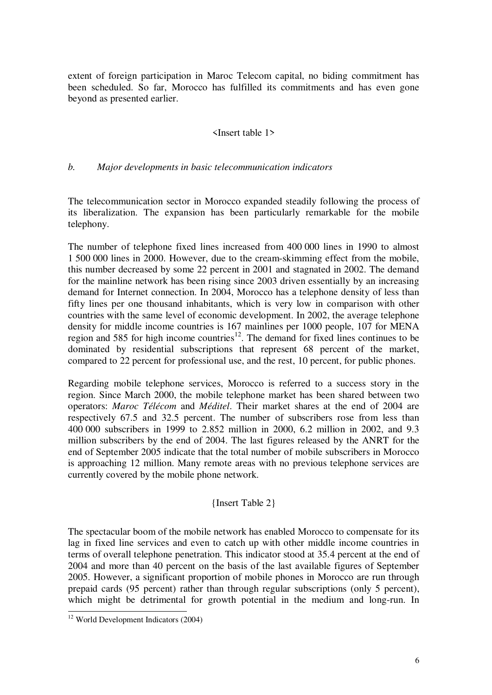extent of foreign participation in Maroc Telecom capital, no biding commitment has been scheduled. So far, Morocco has fulfilled its commitments and has even gone beyond as presented earlier.

#### <Insert table 1>

#### *b. Major developments in basic telecommunication indicators*

The telecommunication sector in Morocco expanded steadily following the process of its liberalization. The expansion has been particularly remarkable for the mobile telephony.

The number of telephone fixed lines increased from 400 000 lines in 1990 to almost 1 500 000 lines in 2000. However, due to the cream-skimming effect from the mobile, this number decreased by some 22 percent in 2001 and stagnated in 2002. The demand for the mainline network has been rising since 2003 driven essentially by an increasing demand for Internet connection. In 2004, Morocco has a telephone density of less than fifty lines per one thousand inhabitants, which is very low in comparison with other countries with the same level of economic development. In 2002, the average telephone density for middle income countries is 167 mainlines per 1000 people, 107 for MENA region and 585 for high income countries<sup>12</sup>. The demand for fixed lines continues to be dominated by residential subscriptions that represent 68 percent of the market, compared to 22 percent for professional use, and the rest, 10 percent, for public phones.

Regarding mobile telephone services, Morocco is referred to a success story in the region. Since March 2000, the mobile telephone market has been shared between two operators: *Maroc Télécom* and *Méditel*. Their market shares at the end of 2004 are respectively 67.5 and 32.5 percent. The number of subscribers rose from less than 400 000 subscribers in 1999 to 2.852 million in 2000, 6.2 million in 2002, and 9.3 million subscribers by the end of 2004. The last figures released by the ANRT for the end of September 2005 indicate that the total number of mobile subscribers in Morocco is approaching 12 million. Many remote areas with no previous telephone services are currently covered by the mobile phone network.

#### {Insert Table 2}

The spectacular boom of the mobile network has enabled Morocco to compensate for its lag in fixed line services and even to catch up with other middle income countries in terms of overall telephone penetration. This indicator stood at 35.4 percent at the end of 2004 and more than 40 percent on the basis of the last available figures of September 2005. However, a significant proportion of mobile phones in Morocco are run through prepaid cards (95 percent) rather than through regular subscriptions (only 5 percent), which might be detrimental for growth potential in the medium and long-run. In

<sup>12</sup> World Development Indicators (2004)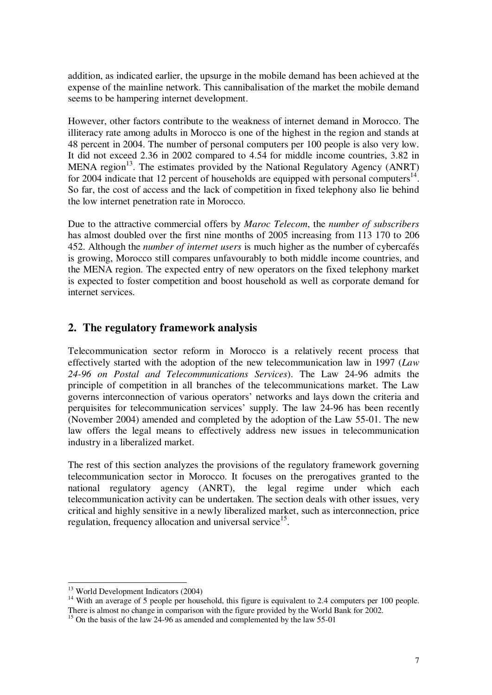addition, as indicated earlier, the upsurge in the mobile demand has been achieved at the expense of the mainline network. This cannibalisation of the market the mobile demand seems to be hampering internet development.

However, other factors contribute to the weakness of internet demand in Morocco. The illiteracy rate among adults in Morocco is one of the highest in the region and stands at 48 percent in 2004. The number of personal computers per 100 people is also very low. It did not exceed 2.36 in 2002 compared to 4.54 for middle income countries, 3.82 in MENA region<sup>13</sup>. The estimates provided by the National Regulatory Agency (ANRT) for 2004 indicate that 12 percent of households are equipped with personal computers $^{14}$ . So far, the cost of access and the lack of competition in fixed telephony also lie behind the low internet penetration rate in Morocco.

Due to the attractive commercial offers by *Maroc Telecom*, the *number of subscribers* has almost doubled over the first nine months of 2005 increasing from 113 170 to 206 452. Although the *number of internet users* is much higher as the number of cybercafés is growing, Morocco still compares unfavourably to both middle income countries, and the MENA region. The expected entry of new operators on the fixed telephony market is expected to foster competition and boost household as well as corporate demand for internet services.

## **2. The regulatory framework analysis**

Telecommunication sector reform in Morocco is a relatively recent process that effectively started with the adoption of the new telecommunication law in 1997 (*Law 24-96 on Postal and Telecommunications Services*). The Law 24-96 admits the principle of competition in all branches of the telecommunications market. The Law governs interconnection of various operators' networks and lays down the criteria and perquisites for telecommunication services' supply. The law 24-96 has been recently (November 2004) amended and completed by the adoption of the Law 55-01. The new law offers the legal means to effectively address new issues in telecommunication industry in a liberalized market.

The rest of this section analyzes the provisions of the regulatory framework governing telecommunication sector in Morocco. It focuses on the prerogatives granted to the national regulatory agency (ANRT), the legal regime under which each telecommunication activity can be undertaken. The section deals with other issues, very critical and highly sensitive in a newly liberalized market, such as interconnection, price regulation, frequency allocation and universal service<sup>15</sup>.

<sup>13</sup> World Development Indicators (2004)

<sup>&</sup>lt;sup>14</sup> With an average of 5 people per household, this figure is equivalent to 2.4 computers per 100 people. There is almost no change in comparison with the figure provided by the World Bank for 2002.

<sup>&</sup>lt;sup>15</sup> On the basis of the law 24-96 as amended and complemented by the law 55-01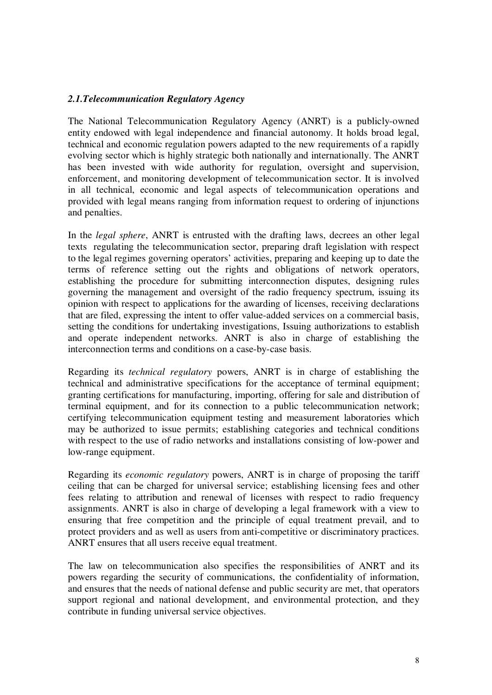## *2.1.Telecommunication Regulatory Agency*

The National Telecommunication Regulatory Agency (ANRT) is a publicly-owned entity endowed with legal independence and financial autonomy. It holds broad legal, technical and economic regulation powers adapted to the new requirements of a rapidly evolving sector which is highly strategic both nationally and internationally. The ANRT has been invested with wide authority for regulation, oversight and supervision, enforcement, and monitoring development of telecommunication sector. It is involved in all technical, economic and legal aspects of telecommunication operations and provided with legal means ranging from information request to ordering of injunctions and penalties.

In the *legal sphere*, ANRT is entrusted with the drafting laws, decrees an other legal texts regulating the telecommunication sector, preparing draft legislation with respect to the legal regimes governing operators' activities, preparing and keeping up to date the terms of reference setting out the rights and obligations of network operators, establishing the procedure for submitting interconnection disputes, designing rules governing the management and oversight of the radio frequency spectrum, issuing its opinion with respect to applications for the awarding of licenses, receiving declarations that are filed, expressing the intent to offer value-added services on a commercial basis, setting the conditions for undertaking investigations, Issuing authorizations to establish and operate independent networks. ANRT is also in charge of establishing the interconnection terms and conditions on a case-by-case basis.

Regarding its *technical regulatory* powers, ANRT is in charge of establishing the technical and administrative specifications for the acceptance of terminal equipment; granting certifications for manufacturing, importing, offering for sale and distribution of terminal equipment, and for its connection to a public telecommunication network; certifying telecommunication equipment testing and measurement laboratories which may be authorized to issue permits; establishing categories and technical conditions with respect to the use of radio networks and installations consisting of low-power and low-range equipment.

Regarding its *economic regulatory* powers, ANRT is in charge of proposing the tariff ceiling that can be charged for universal service; establishing licensing fees and other fees relating to attribution and renewal of licenses with respect to radio frequency assignments. ANRT is also in charge of developing a legal framework with a view to ensuring that free competition and the principle of equal treatment prevail, and to protect providers and as well as users from anti-competitive or discriminatory practices. ANRT ensures that all users receive equal treatment.

The law on telecommunication also specifies the responsibilities of ANRT and its powers regarding the security of communications, the confidentiality of information, and ensures that the needs of national defense and public security are met, that operators support regional and national development, and environmental protection, and they contribute in funding universal service objectives.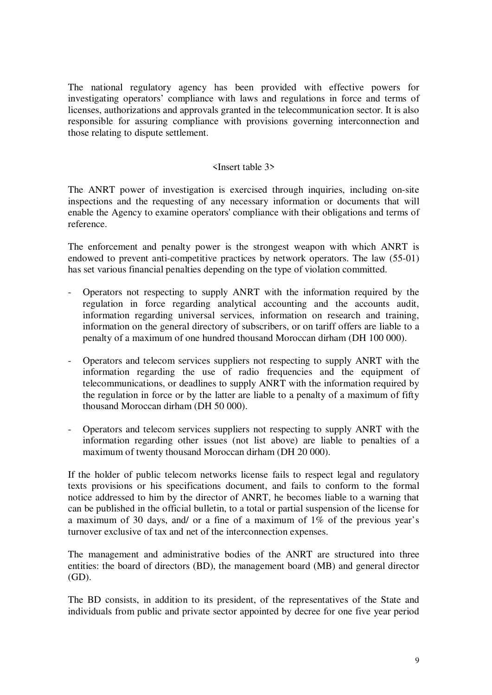The national regulatory agency has been provided with effective powers for investigating operators' compliance with laws and regulations in force and terms of licenses, authorizations and approvals granted in the telecommunication sector. It is also responsible for assuring compliance with provisions governing interconnection and those relating to dispute settlement.

#### <Insert table 3>

The ANRT power of investigation is exercised through inquiries, including on-site inspections and the requesting of any necessary information or documents that will enable the Agency to examine operators' compliance with their obligations and terms of reference.

The enforcement and penalty power is the strongest weapon with which ANRT is endowed to prevent anti-competitive practices by network operators. The law (55-01) has set various financial penalties depending on the type of violation committed.

- Operators not respecting to supply ANRT with the information required by the regulation in force regarding analytical accounting and the accounts audit, information regarding universal services, information on research and training, information on the general directory of subscribers, or on tariff offers are liable to a penalty of a maximum of one hundred thousand Moroccan dirham (DH 100 000).
- Operators and telecom services suppliers not respecting to supply ANRT with the information regarding the use of radio frequencies and the equipment of telecommunications, or deadlines to supply ANRT with the information required by the regulation in force or by the latter are liable to a penalty of a maximum of fifty thousand Moroccan dirham (DH 50 000).
- Operators and telecom services suppliers not respecting to supply ANRT with the information regarding other issues (not list above) are liable to penalties of a maximum of twenty thousand Moroccan dirham (DH 20 000).

If the holder of public telecom networks license fails to respect legal and regulatory texts provisions or his specifications document, and fails to conform to the formal notice addressed to him by the director of ANRT, he becomes liable to a warning that can be published in the official bulletin, to a total or partial suspension of the license for a maximum of 30 days, and/ or a fine of a maximum of 1% of the previous year's turnover exclusive of tax and net of the interconnection expenses.

The management and administrative bodies of the ANRT are structured into three entities: the board of directors (BD), the management board (MB) and general director (GD).

The BD consists, in addition to its president, of the representatives of the State and individuals from public and private sector appointed by decree for one five year period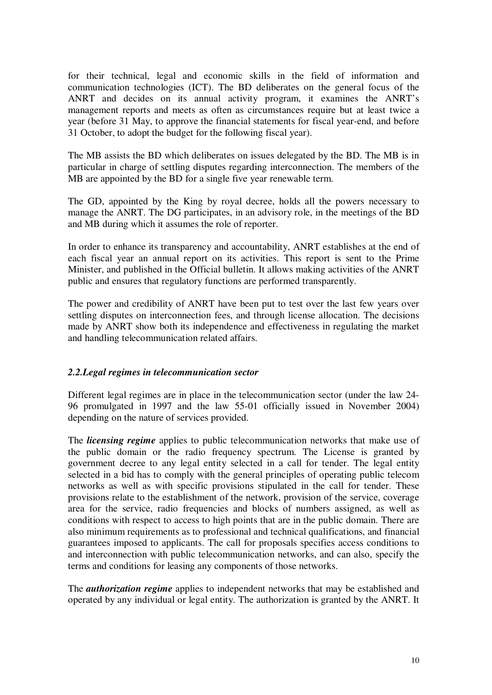for their technical, legal and economic skills in the field of information and communication technologies (ICT). The BD deliberates on the general focus of the ANRT and decides on its annual activity program, it examines the ANRT's management reports and meets as often as circumstances require but at least twice a year (before 31 May, to approve the financial statements for fiscal year-end, and before 31 October, to adopt the budget for the following fiscal year).

The MB assists the BD which deliberates on issues delegated by the BD. The MB is in particular in charge of settling disputes regarding interconnection. The members of the MB are appointed by the BD for a single five year renewable term.

The GD, appointed by the King by royal decree, holds all the powers necessary to manage the ANRT. The DG participates, in an advisory role, in the meetings of the BD and MB during which it assumes the role of reporter.

In order to enhance its transparency and accountability, ANRT establishes at the end of each fiscal year an annual report on its activities. This report is sent to the Prime Minister, and published in the Official bulletin. It allows making activities of the ANRT public and ensures that regulatory functions are performed transparently.

The power and credibility of ANRT have been put to test over the last few years over settling disputes on interconnection fees, and through license allocation. The decisions made by ANRT show both its independence and effectiveness in regulating the market and handling telecommunication related affairs.

#### *2.2.Legal regimes in telecommunication sector*

Different legal regimes are in place in the telecommunication sector (under the law 24- 96 promulgated in 1997 and the law 55-01 officially issued in November 2004) depending on the nature of services provided.

The *licensing regime* applies to public telecommunication networks that make use of the public domain or the radio frequency spectrum. The License is granted by government decree to any legal entity selected in a call for tender. The legal entity selected in a bid has to comply with the general principles of operating public telecom networks as well as with specific provisions stipulated in the call for tender. These provisions relate to the establishment of the network, provision of the service, coverage area for the service, radio frequencies and blocks of numbers assigned, as well as conditions with respect to access to high points that are in the public domain. There are also minimum requirements as to professional and technical qualifications, and financial guarantees imposed to applicants. The call for proposals specifies access conditions to and interconnection with public telecommunication networks, and can also, specify the terms and conditions for leasing any components of those networks.

The *authorization regime* applies to independent networks that may be established and operated by any individual or legal entity. The authorization is granted by the ANRT. It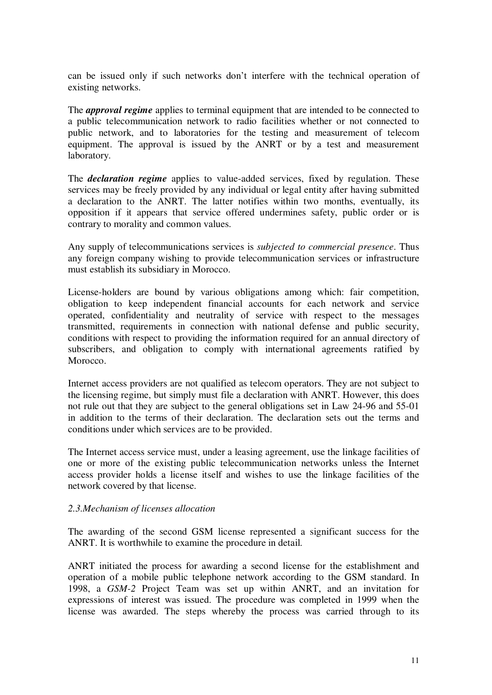can be issued only if such networks don't interfere with the technical operation of existing networks.

The *approval regime* applies to terminal equipment that are intended to be connected to a public telecommunication network to radio facilities whether or not connected to public network, and to laboratories for the testing and measurement of telecom equipment. The approval is issued by the ANRT or by a test and measurement laboratory.

The *declaration regime* applies to value-added services, fixed by regulation. These services may be freely provided by any individual or legal entity after having submitted a declaration to the ANRT. The latter notifies within two months, eventually, its opposition if it appears that service offered undermines safety, public order or is contrary to morality and common values.

Any supply of telecommunications services is *subjected to commercial presence*. Thus any foreign company wishing to provide telecommunication services or infrastructure must establish its subsidiary in Morocco.

License-holders are bound by various obligations among which: fair competition, obligation to keep independent financial accounts for each network and service operated, confidentiality and neutrality of service with respect to the messages transmitted, requirements in connection with national defense and public security, conditions with respect to providing the information required for an annual directory of subscribers, and obligation to comply with international agreements ratified by Morocco.

Internet access providers are not qualified as telecom operators. They are not subject to the licensing regime, but simply must file a declaration with ANRT. However, this does not rule out that they are subject to the general obligations set in Law 24-96 and 55-01 in addition to the terms of their declaration. The declaration sets out the terms and conditions under which services are to be provided.

The Internet access service must, under a leasing agreement, use the linkage facilities of one or more of the existing public telecommunication networks unless the Internet access provider holds a license itself and wishes to use the linkage facilities of the network covered by that license.

#### *2.3.Mechanism of licenses allocation*

The awarding of the second GSM license represented a significant success for the ANRT. It is worthwhile to examine the procedure in detail.

ANRT initiated the process for awarding a second license for the establishment and operation of a mobile public telephone network according to the GSM standard. In 1998, a *GSM-2* Project Team was set up within ANRT, and an invitation for expressions of interest was issued. The procedure was completed in 1999 when the license was awarded. The steps whereby the process was carried through to its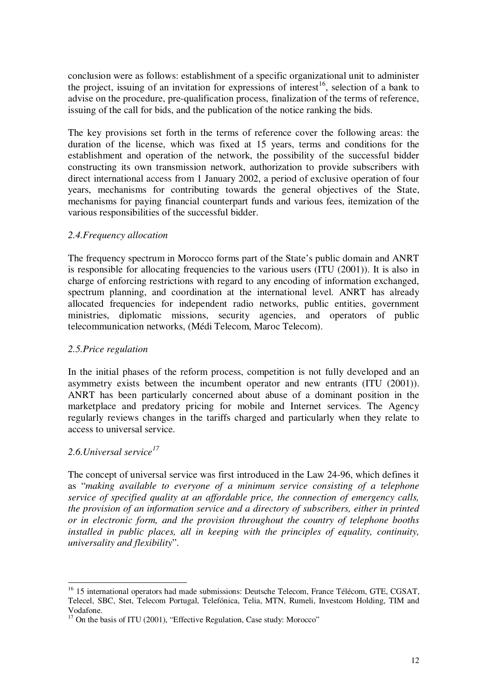conclusion were as follows: establishment of a specific organizational unit to administer the project, issuing of an invitation for expressions of interest<sup>16</sup>, selection of a bank to advise on the procedure, pre-qualification process, finalization of the terms of reference, issuing of the call for bids, and the publication of the notice ranking the bids.

The key provisions set forth in the terms of reference cover the following areas: the duration of the license, which was fixed at 15 years, terms and conditions for the establishment and operation of the network, the possibility of the successful bidder constructing its own transmission network, authorization to provide subscribers with direct international access from 1 January 2002, a period of exclusive operation of four years, mechanisms for contributing towards the general objectives of the State, mechanisms for paying financial counterpart funds and various fees, itemization of the various responsibilities of the successful bidder.

## *2.4.Frequency allocation*

The frequency spectrum in Morocco forms part of the State's public domain and ANRT is responsible for allocating frequencies to the various users (ITU (2001)). It is also in charge of enforcing restrictions with regard to any encoding of information exchanged, spectrum planning, and coordination at the international level. ANRT has already allocated frequencies for independent radio networks, public entities, government ministries, diplomatic missions, security agencies, and operators of public telecommunication networks, (Médi Telecom, Maroc Telecom).

## *2.5.Price regulation*

In the initial phases of the reform process, competition is not fully developed and an asymmetry exists between the incumbent operator and new entrants (ITU (2001)). ANRT has been particularly concerned about abuse of a dominant position in the marketplace and predatory pricing for mobile and Internet services. The Agency regularly reviews changes in the tariffs charged and particularly when they relate to access to universal service.

## *2.6.Universal service<sup>17</sup>*

The concept of universal service was first introduced in the Law 24-96, which defines it as "*making available to everyone of a minimum service consisting of a telephone service of specified quality at an affordable price, the connection of emergency calls, the provision of an information service and a directory of subscribers, either in printed or in electronic form, and the provision throughout the country of telephone booths installed in public places, all in keeping with the principles of equality, continuity, universality and flexibility*".

<sup>&</sup>lt;sup>16</sup> 15 international operators had made submissions: Deutsche Telecom, France Télécom, GTE, CGSAT, Telecel, SBC, Stet, Telecom Portugal, Telefónica, Telia, MTN, Rumeli, Investcom Holding, TIM and Vodafone.

<sup>&</sup>lt;sup>17</sup> On the basis of ITU (2001), "Effective Regulation, Case study: Morocco"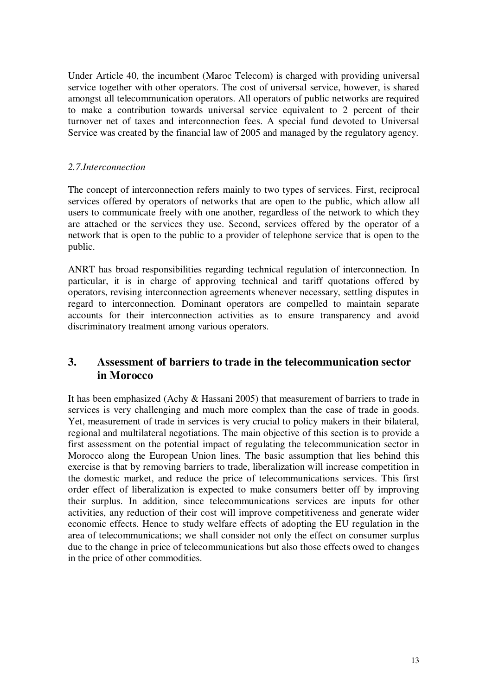Under Article 40, the incumbent (Maroc Telecom) is charged with providing universal service together with other operators. The cost of universal service, however, is shared amongst all telecommunication operators. All operators of public networks are required to make a contribution towards universal service equivalent to 2 percent of their turnover net of taxes and interconnection fees. A special fund devoted to Universal Service was created by the financial law of 2005 and managed by the regulatory agency.

## *2.7.Interconnection*

The concept of interconnection refers mainly to two types of services. First, reciprocal services offered by operators of networks that are open to the public, which allow all users to communicate freely with one another, regardless of the network to which they are attached or the services they use. Second, services offered by the operator of a network that is open to the public to a provider of telephone service that is open to the public.

ANRT has broad responsibilities regarding technical regulation of interconnection. In particular, it is in charge of approving technical and tariff quotations offered by operators, revising interconnection agreements whenever necessary, settling disputes in regard to interconnection. Dominant operators are compelled to maintain separate accounts for their interconnection activities as to ensure transparency and avoid discriminatory treatment among various operators.

## **3. Assessment of barriers to trade in the telecommunication sector in Morocco**

It has been emphasized (Achy & Hassani 2005) that measurement of barriers to trade in services is very challenging and much more complex than the case of trade in goods. Yet, measurement of trade in services is very crucial to policy makers in their bilateral, regional and multilateral negotiations. The main objective of this section is to provide a first assessment on the potential impact of regulating the telecommunication sector in Morocco along the European Union lines. The basic assumption that lies behind this exercise is that by removing barriers to trade, liberalization will increase competition in the domestic market, and reduce the price of telecommunications services. This first order effect of liberalization is expected to make consumers better off by improving their surplus. In addition, since telecommunications services are inputs for other activities, any reduction of their cost will improve competitiveness and generate wider economic effects. Hence to study welfare effects of adopting the EU regulation in the area of telecommunications; we shall consider not only the effect on consumer surplus due to the change in price of telecommunications but also those effects owed to changes in the price of other commodities.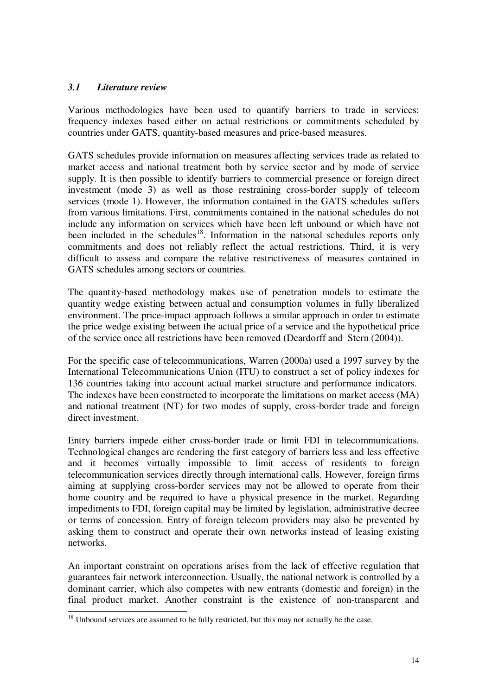## *3.1 Literature review*

Various methodologies have been used to quantify barriers to trade in services: frequency indexes based either on actual restrictions or commitments scheduled by countries under GATS, quantity-based measures and price-based measures.

GATS schedules provide information on measures affecting services trade as related to market access and national treatment both by service sector and by mode of service supply. It is then possible to identify barriers to commercial presence or foreign direct investment (mode 3) as well as those restraining cross-border supply of telecom services (mode 1). However, the information contained in the GATS schedules suffers from various limitations. First, commitments contained in the national schedules do not include any information on services which have been left unbound or which have not been included in the schedules<sup>18</sup>. Information in the national schedules reports only commitments and does not reliably reflect the actual restrictions. Third, it is very difficult to assess and compare the relative restrictiveness of measures contained in GATS schedules among sectors or countries.

The quantity-based methodology makes use of penetration models to estimate the quantity wedge existing between actual and consumption volumes in fully liberalized environment. The price-impact approach follows a similar approach in order to estimate the price wedge existing between the actual price of a service and the hypothetical price of the service once all restrictions have been removed (Deardorff and Stern (2004)).

For the specific case of telecommunications, Warren (2000a) used a 1997 survey by the International Telecommunications Union (ITU) to construct a set of policy indexes for 136 countries taking into account actual market structure and performance indicators. The indexes have been constructed to incorporate the limitations on market access (MA) and national treatment (NT) for two modes of supply, cross-border trade and foreign direct investment.

Entry barriers impede either cross-border trade or limit FDI in telecommunications. Technological changes are rendering the first category of barriers less and less effective and it becomes virtually impossible to limit access of residents to foreign telecommunication services directly through international calls. However, foreign firms aiming at supplying cross-border services may not be allowed to operate from their home country and be required to have a physical presence in the market. Regarding impediments to FDI, foreign capital may be limited by legislation, administrative decree or terms of concession. Entry of foreign telecom providers may also be prevented by asking them to construct and operate their own networks instead of leasing existing networks.

An important constraint on operations arises from the lack of effective regulation that guarantees fair network interconnection. Usually, the national network is controlled by a dominant carrier, which also competes with new entrants (domestic and foreign) in the final product market. Another constraint is the existence of non-transparent and

 $18$  Unbound services are assumed to be fully restricted, but this may not actually be the case.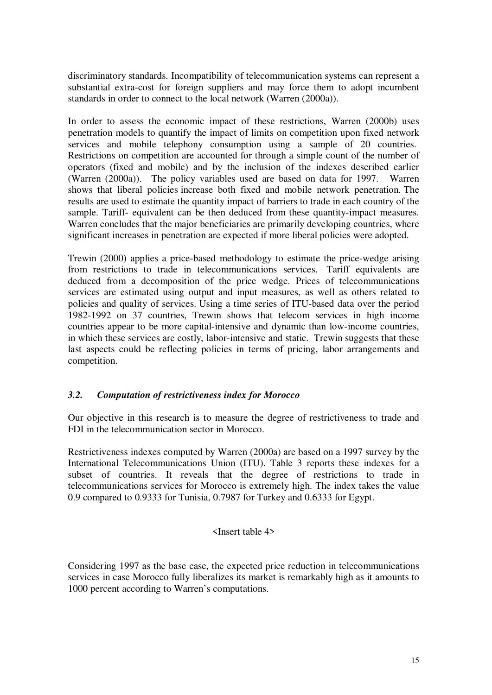discriminatory standards. Incompatibility of telecommunication systems can represent a substantial extra-cost for foreign suppliers and may force them to adopt incumbent standards in order to connect to the local network (Warren (2000a)).

In order to assess the economic impact of these restrictions, Warren (2000b) uses penetration models to quantify the impact of limits on competition upon fixed network services and mobile telephony consumption using a sample of 20 countries. Restrictions on competition are accounted for through a simple count of the number of operators (fixed and mobile) and by the inclusion of the indexes described earlier (Warren (2000a)). The policy variables used are based on data for 1997. Warren shows that liberal policies increase both fixed and mobile network penetration. The results are used to estimate the quantity impact of barriers to trade in each country of the sample. Tariff- equivalent can be then deduced from these quantity-impact measures. Warren concludes that the major beneficiaries are primarily developing countries, where significant increases in penetration are expected if more liberal policies were adopted.

Trewin (2000) applies a price-based methodology to estimate the price-wedge arising from restrictions to trade in telecommunications services. Tariff equivalents are deduced from a decomposition of the price wedge. Prices of telecommunications services are estimated using output and input measures, as well as others related to policies and quality of services. Using a time series of ITU-based data over the period 1982-1992 on 37 countries, Trewin shows that telecom services in high income countries appear to be more capital-intensive and dynamic than low-income countries, in which these services are costly, labor-intensive and static. Trewin suggests that these last aspects could be reflecting policies in terms of pricing, labor arrangements and competition.

## *3.2. Computation of restrictiveness index for Morocco*

Our objective in this research is to measure the degree of restrictiveness to trade and FDI in the telecommunication sector in Morocco.

Restrictiveness indexes computed by Warren (2000a) are based on a 1997 survey by the International Telecommunications Union (ITU). Table 3 reports these indexes for a subset of countries. It reveals that the degree of restrictions to trade in telecommunications services for Morocco is extremely high. The index takes the value 0.9 compared to 0.9333 for Tunisia, 0.7987 for Turkey and 0.6333 for Egypt.

#### <Insert table 4>

Considering 1997 as the base case, the expected price reduction in telecommunications services in case Morocco fully liberalizes its market is remarkably high as it amounts to 1000 percent according to Warren's computations.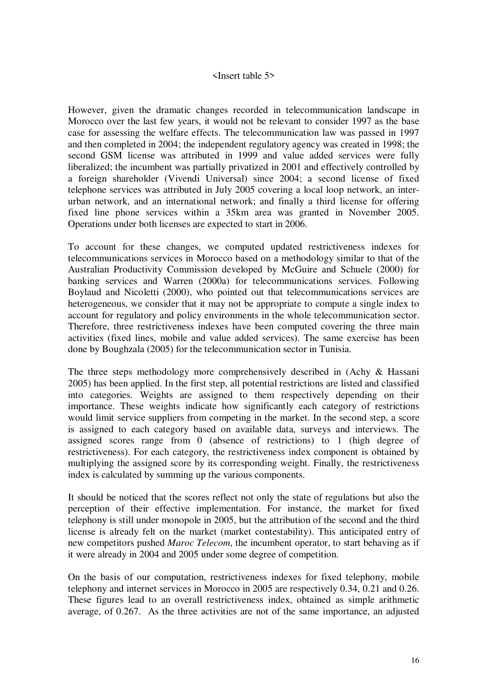#### <Insert table 5>

However, given the dramatic changes recorded in telecommunication landscape in Morocco over the last few years, it would not be relevant to consider 1997 as the base case for assessing the welfare effects. The telecommunication law was passed in 1997 and then completed in 2004; the independent regulatory agency was created in 1998; the second GSM license was attributed in 1999 and value added services were fully liberalized; the incumbent was partially privatized in 2001 and effectively controlled by a foreign shareholder (Vivendi Universal) since 2004; a second license of fixed telephone services was attributed in July 2005 covering a local loop network, an interurban network, and an international network; and finally a third license for offering fixed line phone services within a 35km area was granted in November 2005. Operations under both licenses are expected to start in 2006.

To account for these changes, we computed updated restrictiveness indexes for telecommunications services in Morocco based on a methodology similar to that of the Australian Productivity Commission developed by McGuire and Schuele (2000) for banking services and Warren (2000a) for telecommunications services. Following Boylaud and Nicoletti (2000), who pointed out that telecommunications services are heterogeneous, we consider that it may not be appropriate to compute a single index to account for regulatory and policy environments in the whole telecommunication sector. Therefore, three restrictiveness indexes have been computed covering the three main activities (fixed lines, mobile and value added services). The same exercise has been done by Boughzala (2005) for the telecommunication sector in Tunisia.

The three steps methodology more comprehensively described in (Achy & Hassani 2005) has been applied. In the first step, all potential restrictions are listed and classified into categories. Weights are assigned to them respectively depending on their importance. These weights indicate how significantly each category of restrictions would limit service suppliers from competing in the market. In the second step, a score is assigned to each category based on available data, surveys and interviews. The assigned scores range from 0 (absence of restrictions) to 1 (high degree of restrictiveness). For each category, the restrictiveness index component is obtained by multiplying the assigned score by its corresponding weight. Finally, the restrictiveness index is calculated by summing up the various components.

It should be noticed that the scores reflect not only the state of regulations but also the perception of their effective implementation. For instance, the market for fixed telephony is still under monopole in 2005, but the attribution of the second and the third license is already felt on the market (market contestability). This anticipated entry of new competitors pushed *Maroc Telecom*, the incumbent operator, to start behaving as if it were already in 2004 and 2005 under some degree of competition.

On the basis of our computation, restrictiveness indexes for fixed telephony, mobile telephony and internet services in Morocco in 2005 are respectively 0.34, 0.21 and 0.26. These figures lead to an overall restrictiveness index, obtained as simple arithmetic average, of 0.267. As the three activities are not of the same importance, an adjusted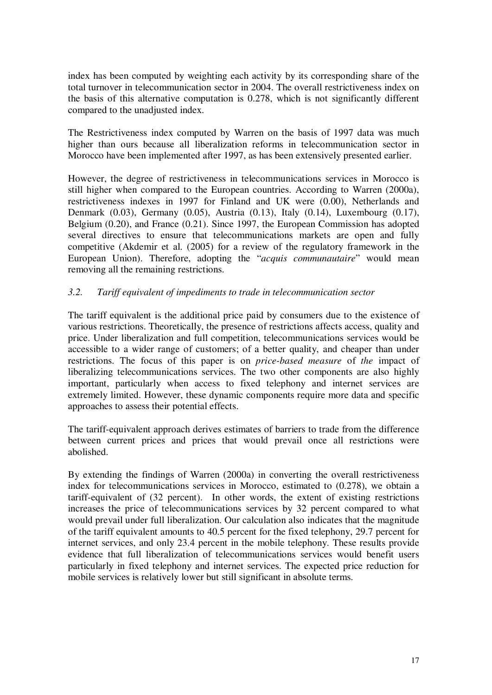index has been computed by weighting each activity by its corresponding share of the total turnover in telecommunication sector in 2004. The overall restrictiveness index on the basis of this alternative computation is 0.278, which is not significantly different compared to the unadjusted index.

The Restrictiveness index computed by Warren on the basis of 1997 data was much higher than ours because all liberalization reforms in telecommunication sector in Morocco have been implemented after 1997, as has been extensively presented earlier.

However, the degree of restrictiveness in telecommunications services in Morocco is still higher when compared to the European countries. According to Warren (2000a), restrictiveness indexes in 1997 for Finland and UK were (0.00), Netherlands and Denmark (0.03), Germany (0.05), Austria (0.13), Italy (0.14), Luxembourg (0.17), Belgium (0.20), and France (0.21). Since 1997, the European Commission has adopted several directives to ensure that telecommunications markets are open and fully competitive (Akdemir et al. (2005) for a review of the regulatory framework in the European Union). Therefore, adopting the "*acquis communautaire*" would mean removing all the remaining restrictions.

## *3.2. Tariff equivalent of impediments to trade in telecommunication sector*

The tariff equivalent is the additional price paid by consumers due to the existence of various restrictions. Theoretically, the presence of restrictions affects access, quality and price. Under liberalization and full competition, telecommunications services would be accessible to a wider range of customers; of a better quality, and cheaper than under restrictions. The focus of this paper is on *price-based measure* of *the* impact of liberalizing telecommunications services. The two other components are also highly important, particularly when access to fixed telephony and internet services are extremely limited. However, these dynamic components require more data and specific approaches to assess their potential effects.

The tariff-equivalent approach derives estimates of barriers to trade from the difference between current prices and prices that would prevail once all restrictions were abolished.

By extending the findings of Warren (2000a) in converting the overall restrictiveness index for telecommunications services in Morocco, estimated to (0.278), we obtain a tariff-equivalent of (32 percent). In other words, the extent of existing restrictions increases the price of telecommunications services by 32 percent compared to what would prevail under full liberalization. Our calculation also indicates that the magnitude of the tariff equivalent amounts to 40.5 percent for the fixed telephony, 29.7 percent for internet services, and only 23.4 percent in the mobile telephony. These results provide evidence that full liberalization of telecommunications services would benefit users particularly in fixed telephony and internet services. The expected price reduction for mobile services is relatively lower but still significant in absolute terms.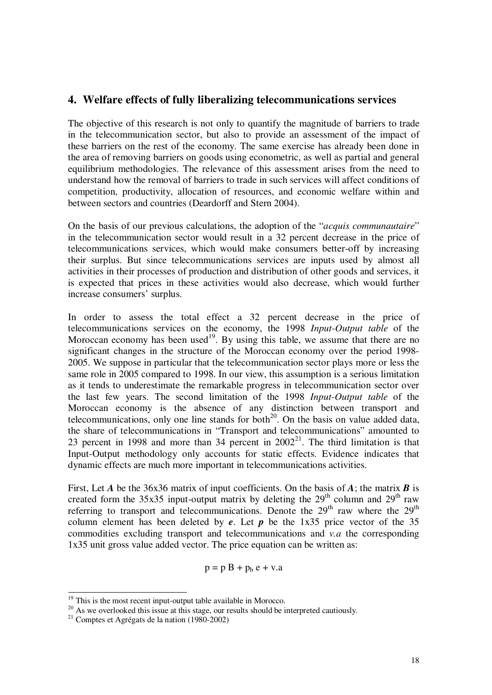## **4. Welfare effects of fully liberalizing telecommunications services**

The objective of this research is not only to quantify the magnitude of barriers to trade in the telecommunication sector, but also to provide an assessment of the impact of these barriers on the rest of the economy. The same exercise has already been done in the area of removing barriers on goods using econometric, as well as partial and general equilibrium methodologies. The relevance of this assessment arises from the need to understand how the removal of barriers to trade in such services will affect conditions of competition, productivity, allocation of resources, and economic welfare within and between sectors and countries (Deardorff and Stern 2004).

On the basis of our previous calculations, the adoption of the "*acquis communautaire*" in the telecommunication sector would result in a 32 percent decrease in the price of telecommunications services, which would make consumers better-off by increasing their surplus. But since telecommunications services are inputs used by almost all activities in their processes of production and distribution of other goods and services, it is expected that prices in these activities would also decrease, which would further increase consumers' surplus.

In order to assess the total effect a 32 percent decrease in the price of telecommunications services on the economy, the 1998 *Input-Output table* of the Moroccan economy has been used<sup>19</sup>. By using this table, we assume that there are no significant changes in the structure of the Moroccan economy over the period 1998- 2005. We suppose in particular that the telecommunication sector plays more or less the same role in 2005 compared to 1998. In our view, this assumption is a serious limitation as it tends to underestimate the remarkable progress in telecommunication sector over the last few years. The second limitation of the 1998 *Input-Output table* of the Moroccan economy is the absence of any distinction between transport and telecommunications, only one line stands for both $^{20}$ . On the basis on value added data, the share of telecommunications in "Transport and telecommunications" amounted to 23 percent in 1998 and more than 34 percent in  $2002<sup>21</sup>$ . The third limitation is that Input-Output methodology only accounts for static effects. Evidence indicates that dynamic effects are much more important in telecommunications activities.

First, Let *A* be the 36x36 matrix of input coefficients. On the basis of *A*; the matrix *B* is created form the 35x35 input-output matrix by deleting the  $29<sup>th</sup>$  column and  $29<sup>th</sup>$  raw referring to transport and telecommunications. Denote the  $29<sup>th</sup>$  raw where the  $29<sup>th</sup>$ column element has been deleted by *e*. Let *p* be the 1x35 price vector of the 35 commodities excluding transport and telecommunications and *v.a* the corresponding 1x35 unit gross value added vector. The price equation can be written as:

$$
p = p B + p_b e + v.a
$$

 $19$  This is the most recent input-output table available in Morocco.

<sup>&</sup>lt;sup>20</sup> As we overlooked this issue at this stage, our results should be interpreted cautiously.

<sup>21</sup> Comptes et Agrégats de la nation (1980-2002)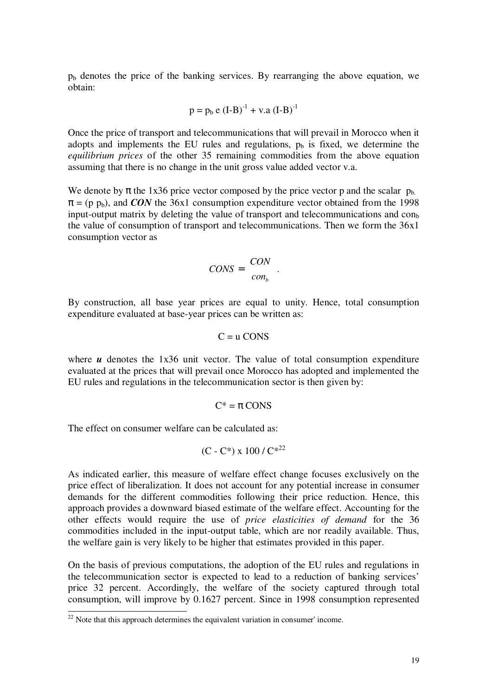$p<sub>b</sub>$  denotes the price of the banking services. By rearranging the above equation, we obtain:

$$
p = p_b e (I-B)^{-1} + v.a (I-B)^{-1}
$$

Once the price of transport and telecommunications that will prevail in Morocco when it adopts and implements the EU rules and regulations,  $p_b$  is fixed, we determine the *equilibrium prices* of the other 35 remaining commodities from the above equation assuming that there is no change in the unit gross value added vector v.a.

We denote by  $\pi$  the 1x36 price vector composed by the price vector p and the scalar  $p_{b}$ .  $\pi = (p \, p_b)$ , and *CON* the 36x1 consumption expenditure vector obtained from the 1998 input-output matrix by deleting the value of transport and telecommunications and con the value of consumption of transport and telecommunications. Then we form the 36x1 consumption vector as

$$
CONS = \begin{bmatrix} CON \\ con_b \end{bmatrix}.
$$

By construction, all base year prices are equal to unity. Hence, total consumption expenditure evaluated at base-year prices can be written as:

$$
C = u
$$
 CONS

where *u* denotes the 1x36 unit vector. The value of total consumption expenditure evaluated at the prices that will prevail once Morocco has adopted and implemented the EU rules and regulations in the telecommunication sector is then given by:

$$
C^* = \pi \text{ CONS}
$$

The effect on consumer welfare can be calculated as:

(C - C\*) x 100 / 
$$
C^{*22}
$$

As indicated earlier, this measure of welfare effect change focuses exclusively on the price effect of liberalization. It does not account for any potential increase in consumer demands for the different commodities following their price reduction. Hence, this approach provides a downward biased estimate of the welfare effect. Accounting for the other effects would require the use of *price elasticities of demand* for the 36 commodities included in the input-output table, which are nor readily available. Thus, the welfare gain is very likely to be higher that estimates provided in this paper.

On the basis of previous computations, the adoption of the EU rules and regulations in the telecommunication sector is expected to lead to a reduction of banking services' price 32 percent. Accordingly, the welfare of the society captured through total consumption, will improve by 0.1627 percent. Since in 1998 consumption represented

 $22$  Note that this approach determines the equivalent variation in consumer' income.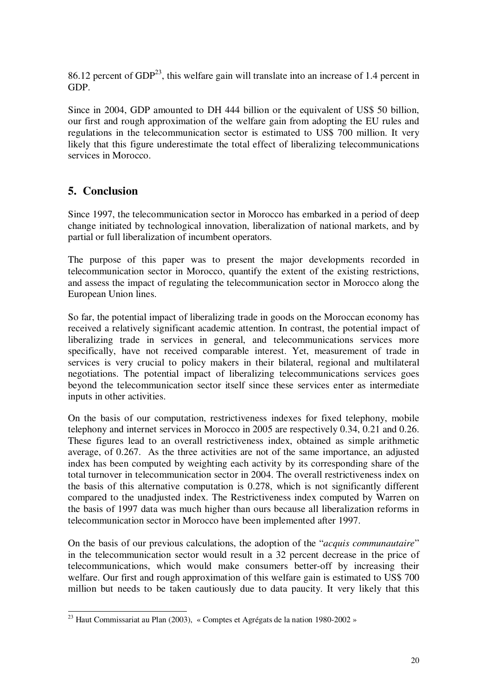86.12 percent of  $GDP<sup>23</sup>$ , this welfare gain will translate into an increase of 1.4 percent in GDP.

Since in 2004, GDP amounted to DH 444 billion or the equivalent of US\$ 50 billion, our first and rough approximation of the welfare gain from adopting the EU rules and regulations in the telecommunication sector is estimated to US\$ 700 million. It very likely that this figure underestimate the total effect of liberalizing telecommunications services in Morocco.

## **5. Conclusion**

Since 1997, the telecommunication sector in Morocco has embarked in a period of deep change initiated by technological innovation, liberalization of national markets, and by partial or full liberalization of incumbent operators.

The purpose of this paper was to present the major developments recorded in telecommunication sector in Morocco, quantify the extent of the existing restrictions, and assess the impact of regulating the telecommunication sector in Morocco along the European Union lines.

So far, the potential impact of liberalizing trade in goods on the Moroccan economy has received a relatively significant academic attention. In contrast, the potential impact of liberalizing trade in services in general, and telecommunications services more specifically, have not received comparable interest. Yet, measurement of trade in services is very crucial to policy makers in their bilateral, regional and multilateral negotiations. The potential impact of liberalizing telecommunications services goes beyond the telecommunication sector itself since these services enter as intermediate inputs in other activities.

On the basis of our computation, restrictiveness indexes for fixed telephony, mobile telephony and internet services in Morocco in 2005 are respectively 0.34, 0.21 and 0.26. These figures lead to an overall restrictiveness index, obtained as simple arithmetic average, of 0.267. As the three activities are not of the same importance, an adjusted index has been computed by weighting each activity by its corresponding share of the total turnover in telecommunication sector in 2004. The overall restrictiveness index on the basis of this alternative computation is 0.278, which is not significantly different compared to the unadjusted index. The Restrictiveness index computed by Warren on the basis of 1997 data was much higher than ours because all liberalization reforms in telecommunication sector in Morocco have been implemented after 1997.

On the basis of our previous calculations, the adoption of the "*acquis communautaire*" in the telecommunication sector would result in a 32 percent decrease in the price of telecommunications, which would make consumers better-off by increasing their welfare. Our first and rough approximation of this welfare gain is estimated to US\$ 700 million but needs to be taken cautiously due to data paucity. It very likely that this

<sup>23</sup> Haut Commissariat au Plan (2003), « Comptes et Agrégats de la nation 1980-2002 »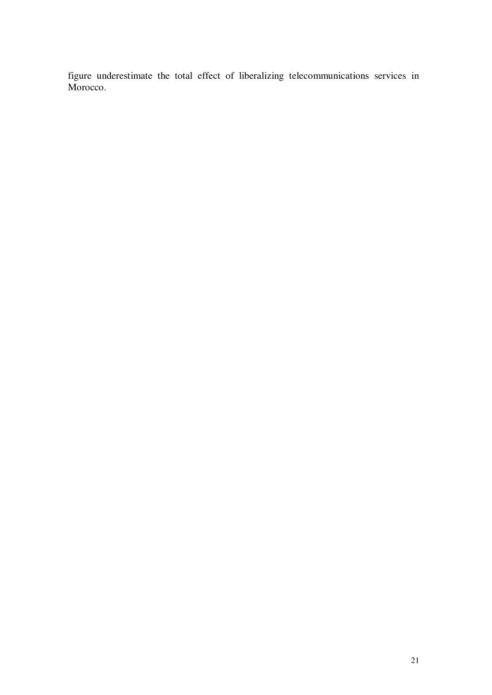figure underestimate the total effect of liberalizing telecommunications services in Morocco.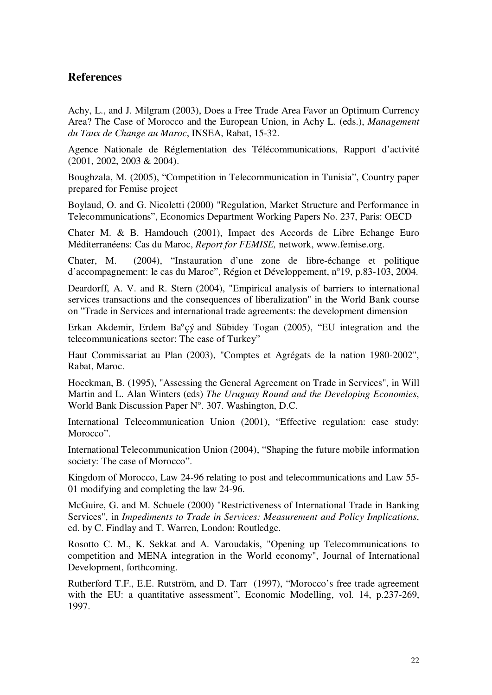## **References**

Achy, L., and J. Milgram (2003), Does a Free Trade Area Favor an Optimum Currency Area? The Case of Morocco and the European Union, in Achy L. (eds.), *Management du Taux de Change au Maroc*, INSEA, Rabat, 15-32.

Agence Nationale de Réglementation des Télécommunications, Rapport d'activité (2001, 2002, 2003 & 2004).

Boughzala, M. (2005), "Competition in Telecommunication in Tunisia", Country paper prepared for Femise project

Boylaud, O. and G. Nicoletti (2000) "Regulation, Market Structure and Performance in Telecommunications", Economics Department Working Papers No. 237, Paris: OECD

Chater M. & B. Hamdouch (2001), Impact des Accords de Libre Echange Euro Méditerranéens: Cas du Maroc, *Report for FEMISE,* network, www.femise.org.

Chater, M. (2004), "Instauration d'une zone de libre-échange et politique d'accompagnement: le cas du Maroc", Région et Développement, n°19, p.83-103, 2004.

Deardorff, A. V. and R. Stern (2004), "Empirical analysis of barriers to international services transactions and the consequences of liberalization" in the World Bank course on "Trade in Services and international trade agreements: the development dimension

Erkan Akdemir, Erdem Baºçý and Sübidey Togan (2005), "EU integration and the telecommunications sector: The case of Turkey"

Haut Commissariat au Plan (2003), "Comptes et Agrégats de la nation 1980-2002", Rabat, Maroc.

Hoeckman, B. (1995), "Assessing the General Agreement on Trade in Services", in Will Martin and L. Alan Winters (eds) *The Uruguay Round and the Developing Economies*, World Bank Discussion Paper N°. 307. Washington, D.C.

International Telecommunication Union (2001), "Effective regulation: case study: Morocco".

International Telecommunication Union (2004), "Shaping the future mobile information society: The case of Morocco".

Kingdom of Morocco, Law 24-96 relating to post and telecommunications and Law 55- 01 modifying and completing the law 24-96.

McGuire, G. and M. Schuele (2000) "Restrictiveness of International Trade in Banking Services", in *Impediments to Trade in Services: Measurement and Policy Implications*, ed. by C. Findlay and T. Warren, London: Routledge.

Rosotto C. M., K. Sekkat and A. Varoudakis, "Opening up Telecommunications to competition and MENA integration in the World economy", Journal of International Development, forthcoming.

Rutherford T.F., E.E. Rutström, and D. Tarr (1997), "Morocco's free trade agreement with the EU: a quantitative assessment", Economic Modelling, vol. 14, p.237-269, 1997.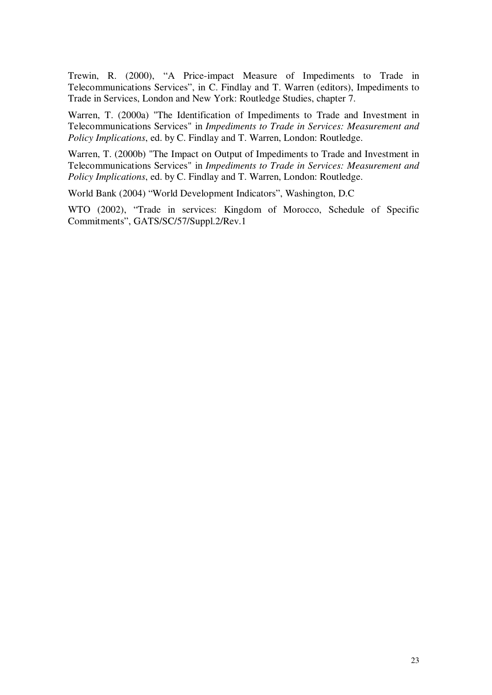Trewin, R. (2000), "A Price-impact Measure of Impediments to Trade in Telecommunications Services", in C. Findlay and T. Warren (editors), Impediments to Trade in Services, London and New York: Routledge Studies, chapter 7.

Warren, T. (2000a) "The Identification of Impediments to Trade and Investment in Telecommunications Services" in *Impediments to Trade in Services: Measurement and Policy Implications*, ed. by C. Findlay and T. Warren, London: Routledge.

Warren, T. (2000b) "The Impact on Output of Impediments to Trade and Investment in Telecommunications Services" in *Impediments to Trade in Services: Measurement and Policy Implications*, ed. by C. Findlay and T. Warren, London: Routledge.

World Bank (2004) "World Development Indicators", Washington, D.C

WTO (2002), "Trade in services: Kingdom of Morocco, Schedule of Specific Commitments", GATS/SC/57/Suppl.2/Rev.1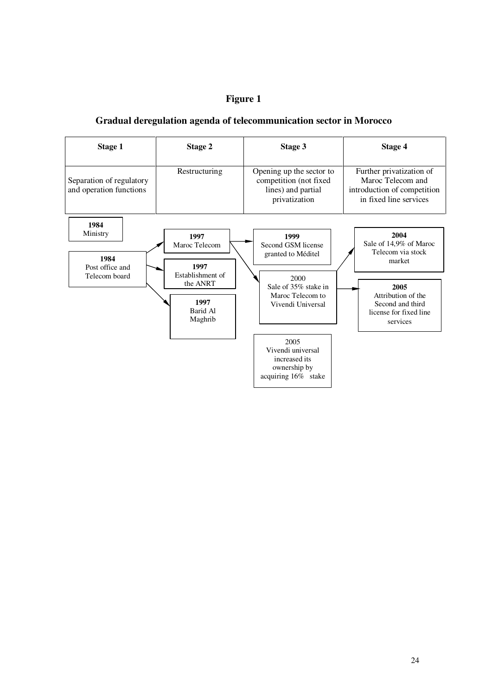## **Figure 1**

## **Gradual deregulation agenda of telecommunication sector in Morocco**

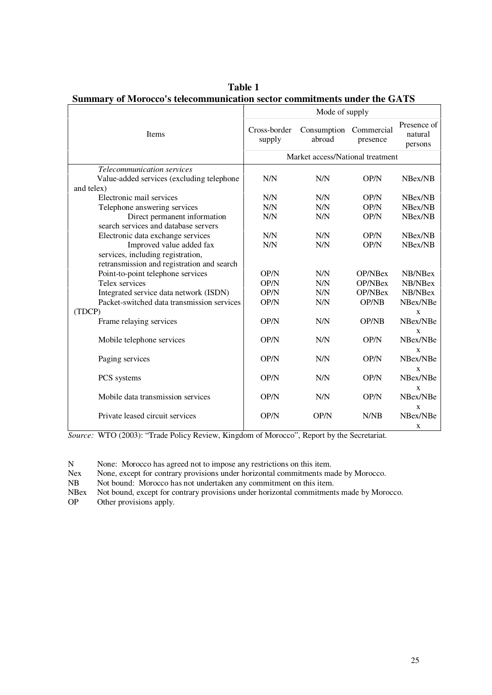|                                            | Mode of supply                   |                       |                        |                                   |  |  |
|--------------------------------------------|----------------------------------|-----------------------|------------------------|-----------------------------------|--|--|
| <b>Items</b>                               | Cross-border<br>supply           | Consumption<br>abroad | Commercial<br>presence | Presence of<br>natural<br>persons |  |  |
|                                            | Market access/National treatment |                       |                        |                                   |  |  |
| Telecommunication services                 |                                  |                       |                        |                                   |  |  |
| Value-added services (excluding telephone  | N/N                              | N/N                   | OP/N                   | NBex/NB                           |  |  |
| and telex)                                 |                                  |                       |                        |                                   |  |  |
| Electronic mail services                   | N/N                              | N/N                   | OP/N                   | NBex/NB                           |  |  |
| Telephone answering services               | N/N                              | N/N                   | OP/N                   | NBex/NB                           |  |  |
| Direct permanent information               | N/N                              | N/N                   | OP/N                   | NBex/NB                           |  |  |
| search services and database servers       |                                  |                       |                        |                                   |  |  |
| Electronic data exchange services          | N/N                              | N/N                   | OP/N                   | NBex/NB                           |  |  |
| Improved value added fax                   | N/N                              | N/N                   | OP/N                   | NBex/NB                           |  |  |
| services, including registration,          |                                  |                       |                        |                                   |  |  |
| retransmission and registration and search |                                  |                       |                        |                                   |  |  |
| Point-to-point telephone services          | OP/N                             | N/N                   | OP/NBex                | NB/NBex                           |  |  |
| Telex services                             | OP/N                             | N/N                   | <b>OP/NBex</b>         | NB/NBex                           |  |  |
| Integrated service data network (ISDN)     | OP/N                             | N/N                   | <b>OP/NBex</b>         | NB/NBex                           |  |  |
| Packet-switched data transmission services | OP/N                             | N/N                   | <b>OP/NB</b>           | NBex/NBe                          |  |  |
| (TDCP)                                     |                                  |                       |                        | X                                 |  |  |
| Frame relaying services                    | OP/N                             | N/N                   | <b>OP/NB</b>           | NBex/NBe                          |  |  |
|                                            |                                  |                       |                        | $\mathbf x$                       |  |  |
| Mobile telephone services                  | OP/N                             | N/N                   | OP/N                   | NBex/NBe                          |  |  |
|                                            |                                  |                       |                        | $\mathbf{x}$                      |  |  |
| Paging services                            | OP/N                             | N/N                   | OP/N                   | NBex/NBe                          |  |  |
|                                            |                                  |                       |                        | $\mathbf{x}$                      |  |  |
| PCS systems                                | OP/N                             | N/N                   | OP/N                   | NBex/NBe                          |  |  |
|                                            |                                  |                       |                        | $\mathbf{x}$                      |  |  |
| Mobile data transmission services          | OP/N                             | N/N                   | OP/N                   | NBex/NBe                          |  |  |
|                                            |                                  |                       |                        | X                                 |  |  |
| Private leased circuit services            | OP/N                             | OP/N                  | N/NB                   | NBex/NBe                          |  |  |
|                                            |                                  |                       |                        | X                                 |  |  |

**Table 1 Summary of Morocco's telecommunication sector commitments under the GATS**

*Source:* WTO (2003): "Trade Policy Review, Kingdom of Morocco", Report by the Secretariat.

N None: Morocco has agreed not to impose any restrictions on this item.<br>Nex None, except for contrary provisions under horizontal commitments ma

Nex None, except for contrary provisions under horizontal commitments made by Morocco.<br>NB Not bound: Morocco has not undertaken any commitment on this item.

NB Not bound: Morocco has not undertaken any commitment on this item.<br>NBex Not bound, except for contrary provisions under horizontal commitment

NBex Not bound, except for contrary provisions under horizontal commitments made by Morocco.<br>OP Other provisions apply.

Other provisions apply.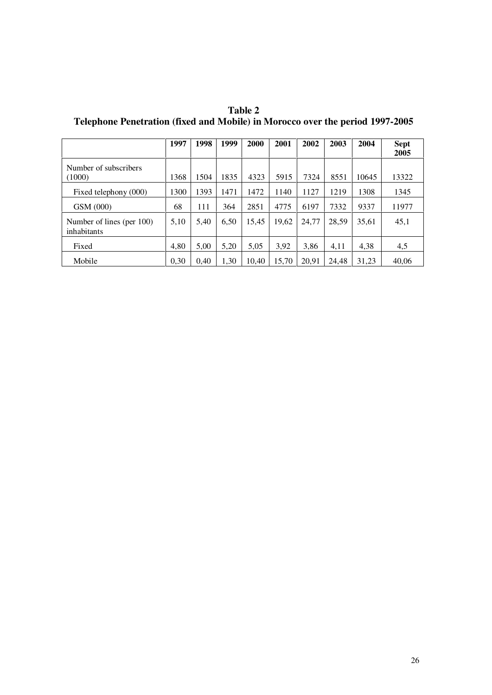|                                          | 1997 | 1998 | 1999 | 2000  | 2001  | 2002  | 2003  | 2004  | <b>Sept</b><br>2005 |
|------------------------------------------|------|------|------|-------|-------|-------|-------|-------|---------------------|
| Number of subscribers<br>(1000)          | 1368 | 1504 | 1835 | 4323  | 5915  | 7324  | 8551  | 10645 | 13322               |
| Fixed telephony (000)                    | 1300 | 1393 | 1471 | 1472  | 1140  | 1127  | 1219  | 1308  | 1345                |
| GSM (000)                                | 68   | 111  | 364  | 2851  | 4775  | 6197  | 7332  | 9337  | 11977               |
| Number of lines (per 100)<br>inhabitants | 5,10 | 5.40 | 6,50 | 15,45 | 19,62 | 24,77 | 28,59 | 35.61 | 45,1                |
| Fixed                                    | 4,80 | 5,00 | 5,20 | 5,05  | 3,92  | 3,86  | 4,11  | 4,38  | 4,5                 |
| Mobile                                   | 0,30 | 0,40 | 1,30 | 10.40 | 15,70 | 20,91 | 24.48 | 31.23 | 40,06               |

**Table 2 Telephone Penetration (fixed and Mobile) in Morocco over the period 1997-2005**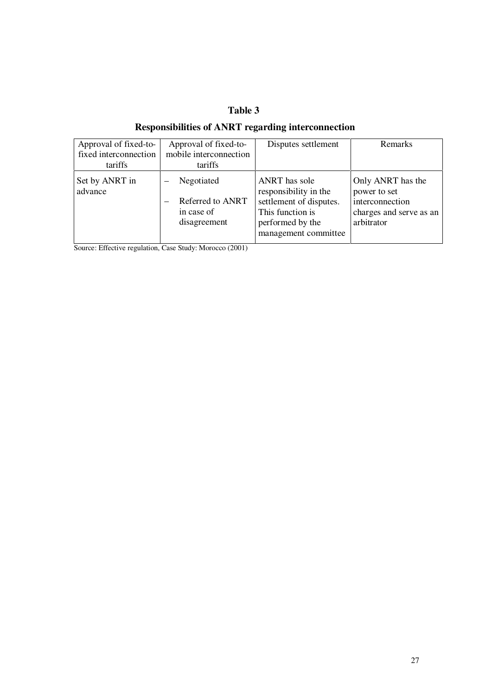## **Table 3**

## **Responsibilities of ANRT regarding interconnection**

| Approval of fixed-to-     | Approval of fixed-to-                                        | Disputes settlement                                                                                                               | <b>Remarks</b>                                                                                |
|---------------------------|--------------------------------------------------------------|-----------------------------------------------------------------------------------------------------------------------------------|-----------------------------------------------------------------------------------------------|
| fixed interconnection     | mobile interconnection                                       |                                                                                                                                   |                                                                                               |
| tariffs                   | tariffs                                                      |                                                                                                                                   |                                                                                               |
| Set by ANRT in<br>advance | Negotiated<br>Referred to ANRT<br>in case of<br>disagreement | ANRT has sole<br>responsibility in the<br>settlement of disputes.<br>This function is<br>performed by the<br>management committee | Only ANRT has the<br>power to set<br>interconnection<br>charges and serve as an<br>arbitrator |

Source: Effective regulation, Case Study: Morocco (2001)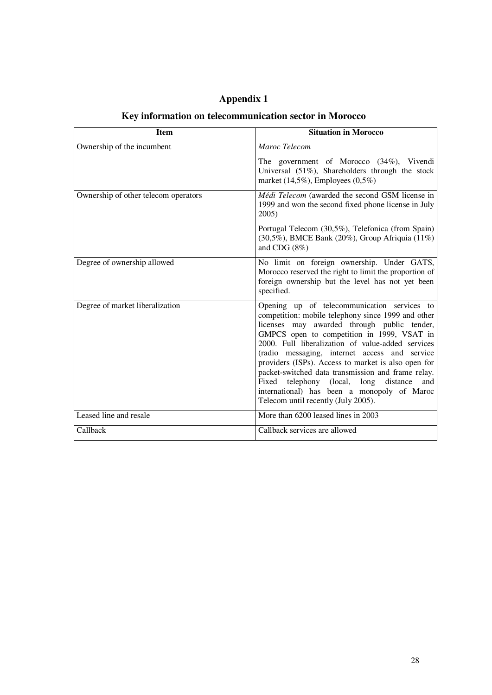| <b>Appendix 1</b> |  |  |
|-------------------|--|--|
|-------------------|--|--|

## **Key information on telecommunication sector in Morocco**

| <b>Item</b>                          | <b>Situation in Morocco</b>                                                                                                                                                                                                                                                                                                                                                                                                                                                                                                                                |
|--------------------------------------|------------------------------------------------------------------------------------------------------------------------------------------------------------------------------------------------------------------------------------------------------------------------------------------------------------------------------------------------------------------------------------------------------------------------------------------------------------------------------------------------------------------------------------------------------------|
| Ownership of the incumbent           | Maroc Telecom                                                                                                                                                                                                                                                                                                                                                                                                                                                                                                                                              |
|                                      | The government of Morocco (34%), Vivendi<br>Universal (51%), Shareholders through the stock<br>market $(14,5\%)$ , Employees $(0,5\%)$                                                                                                                                                                                                                                                                                                                                                                                                                     |
| Ownership of other telecom operators | Médi Telecom (awarded the second GSM license in<br>1999 and won the second fixed phone license in July<br>2005)                                                                                                                                                                                                                                                                                                                                                                                                                                            |
|                                      | Portugal Telecom (30,5%), Telefonica (from Spain)<br>$(30,5\%)$ , BMCE Bank $(20\%)$ , Group Afriquia $(11\%)$<br>and CDG (8%)                                                                                                                                                                                                                                                                                                                                                                                                                             |
| Degree of ownership allowed          | No limit on foreign ownership. Under GATS,<br>Morocco reserved the right to limit the proportion of<br>foreign ownership but the level has not yet been<br>specified.                                                                                                                                                                                                                                                                                                                                                                                      |
| Degree of market liberalization      | Opening up of telecommunication services to<br>competition: mobile telephony since 1999 and other<br>licenses may awarded through public tender,<br>GMPCS open to competition in 1999, VSAT in<br>2000. Full liberalization of value-added services<br>(radio messaging, internet access and service<br>providers (ISPs). Access to market is also open for<br>packet-switched data transmission and frame relay.<br>Fixed telephony (local, long<br>distance<br>and<br>international) has been a monopoly of Maroc<br>Telecom until recently (July 2005). |
| Leased line and resale               | More than 6200 leased lines in 2003                                                                                                                                                                                                                                                                                                                                                                                                                                                                                                                        |
| Callback                             | Callback services are allowed                                                                                                                                                                                                                                                                                                                                                                                                                                                                                                                              |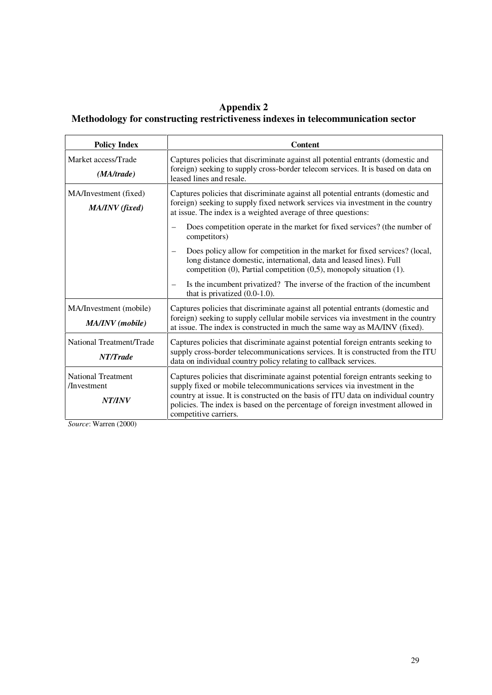#### **Appendix 2 Methodology for constructing restrictiveness indexes in telecommunication sector**

| <b>Policy Index</b>                                       | <b>Content</b>                                                                                                                                                                                                                                                                                                                                                  |
|-----------------------------------------------------------|-----------------------------------------------------------------------------------------------------------------------------------------------------------------------------------------------------------------------------------------------------------------------------------------------------------------------------------------------------------------|
| Market access/Trade<br>(MA/trade)                         | Captures policies that discriminate against all potential entrants (domestic and<br>foreign) seeking to supply cross-border telecom services. It is based on data on<br>leased lines and resale.                                                                                                                                                                |
| MA/Investment (fixed)<br>MA/INV (fixed)                   | Captures policies that discriminate against all potential entrants (domestic and<br>foreign) seeking to supply fixed network services via investment in the country<br>at issue. The index is a weighted average of three questions:                                                                                                                            |
|                                                           | Does competition operate in the market for fixed services? (the number of<br>competitors)                                                                                                                                                                                                                                                                       |
|                                                           | Does policy allow for competition in the market for fixed services? (local,<br>$\overline{\phantom{m}}$<br>long distance domestic, international, data and leased lines). Full<br>competition $(0)$ , Partial competition $(0,5)$ , monopoly situation $(1)$ .                                                                                                  |
|                                                           | Is the incumbent privatized? The inverse of the fraction of the incumbent<br>$\overline{\phantom{m}}$<br>that is privatized $(0.0-1.0)$ .                                                                                                                                                                                                                       |
| MA/Investment (mobile)<br>MA/INV (mobile)                 | Captures policies that discriminate against all potential entrants (domestic and<br>foreign) seeking to supply cellular mobile services via investment in the country<br>at issue. The index is constructed in much the same way as MA/INV (fixed).                                                                                                             |
| National Treatment/Trade<br>NT/Trade                      | Captures policies that discriminate against potential foreign entrants seeking to<br>supply cross-border telecommunications services. It is constructed from the ITU<br>data on individual country policy relating to callback services.                                                                                                                        |
| <b>National Treatment</b><br>/Investment<br><b>NT/INV</b> | Captures policies that discriminate against potential foreign entrants seeking to<br>supply fixed or mobile telecommunications services via investment in the<br>country at issue. It is constructed on the basis of ITU data on individual country<br>policies. The index is based on the percentage of foreign investment allowed in<br>competitive carriers. |

*Source*: Warren (2000)